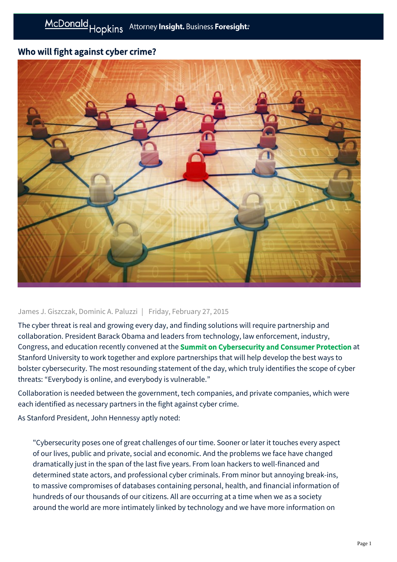# Who will fight against cyber crime?



## James J. Giszczak, Dominic A. Paluzzi | Friday, February 27, 2015

The cyber threat is real and growing every day, and finding solutions will require partnership and collaboration. President Barack Obama and leaders from technology, law enforcement, industry, Congress, and education recently convened at the [Summit on Cybersecurity and Consumer Protection](http://www.whitehouse.gov/issues/foreign-policy/cybersecurity/summit) at Stanford University to work together and explore partnerships that will help develop the best ways to bolster cybersecurity. The most resounding statement of the day, which truly identifies the scope of cyber threats: "Everybody is online, and everybody is vulnerable."

Collaboration is needed between the government, tech companies, and private companies, which were each identified as necessary partners in the fight against cyber crime.

As Stanford President, John Hennessy aptly noted:

"Cybersecurity poses one of great challenges of our time. Sooner or later it touches every aspect of our lives, public and private, social and economic. And the problems we face have changed dramatically just in the span of the last five years. From loan hackers to well-financed and determined state actors, and professional cyber criminals. From minor but annoying break-ins, to massive compromises of databases containing personal, health, and financial information of hundreds of our thousands of our citizens. All are occurring at a time when we as a society around the world are more intimately linked by technology and we have more information on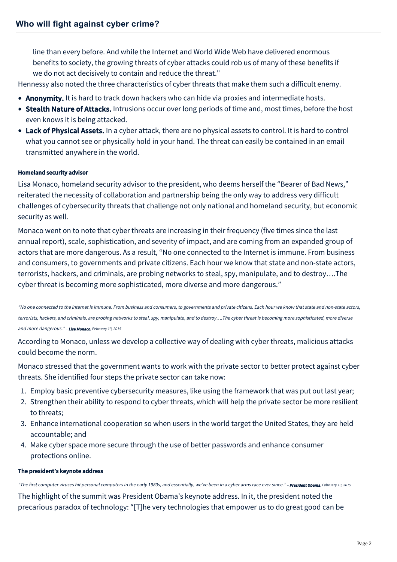line than every before. And while the Internet and World Wide Web have delivered enormous benefits to society, the growing threats of cyber attacks could rob us of many of these benefits if we do not act decisively to contain and reduce the threat."

Hennessy also noted the three characteristics of cyber threats that make them such a difficult enemy.

- Anonymity. It is hard to track down hackers who can hide via proxies and intermediate hosts.
- Stealth Nature of Attacks. Intrusions occur over long periods of time and, most times, before the host even knows it is being attacked.
- Lack of Physical Assets. In a cyber attack, there are no physical assets to control. It is hard to control what you cannot see or physically hold in your hand. The threat can easily be contained in an email transmitted anywhere in the world.

## Homeland security advisor

Lisa Monaco, homeland security advisor to the president, who deems herself the "Bearer of Bad News," reiterated the necessity of collaboration and partnership being the only way to address very difficult challenges of cybersecurity threats that challenge not only national and homeland security, but economic security as well.

Monaco went on to note that cyber threats are increasing in their frequency (five times since the last annual report), scale, sophistication, and severity of impact, and are coming from an expanded group of actors that are more dangerous. As a result, "No one connected to the Internet is immune. From business and consumers, to governments and private citizens. Each hour we know that state and non-state actors, terrorists, hackers, and criminals, are probing networks to steal, spy, manipulate, and to destroy….The cyber threat is becoming more sophisticated, more diverse and more dangerous."

"No one connected to the internet is immune. From business and consumers, to governments and private citizens. Each hour we know that state and non-state actors, terrorists, hackers, and criminals, are probing networks to steal, spy, manipulate, and to destroy….The cyber threat is becoming more sophisticated, more diverse and more dangerous." - Lisa Monaco, February 13, 2015

According to Monaco, unless we develop a collective way of dealing with cyber threats, malicious attacks could become the norm.

Monaco stressed that the government wants to work with the private sector to better protect against cyber threats. She identified four steps the private sector can take now:

- 1. Employ basic preventive cybersecurity measures, like using the framework that was put out last year;
- 2. Strengthen their ability to respond to cyber threats, which will help the private sector be more resilient to threats;
- 3. Enhance international cooperation so when users in the world target the United States, they are held accountable; and
- 4. Make cyber space more secure through the use of better passwords and enhance consumer protections online.

## The president's keynote address

"The first computer viruses hit personal computers in the early 1980s, and essentially, we've been in a cyber arms race ever since." - President Obama, February 13, 2015

The highlight of the summit was President Obama's keynote address. In it, the president noted the precarious paradox of technology: "[T]he very technologies that empower us to do great good can be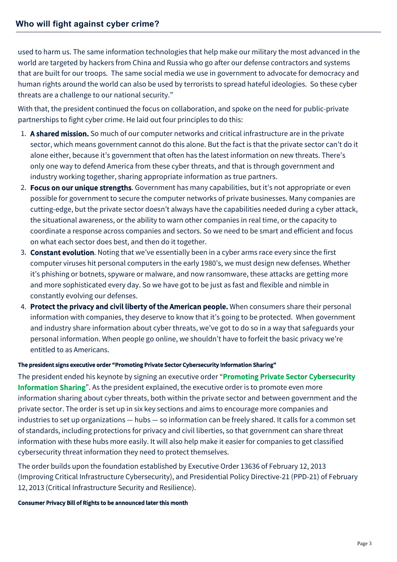used to harm us. The same information technologies that help make our military the most advanced in the world are targeted by hackers from China and Russia who go after our defense contractors and systems that are built for our troops. The same social media we use in government to advocate for democracy and human rights around the world can also be used by terrorists to spread hateful ideologies. So these cyber threats are a challenge to our national security."

With that, the president continued the focus on collaboration, and spoke on the need for public-private partnerships to fight cyber crime. He laid out four principles to do this:

- 1. A shared mission. So much of our computer networks and critical infrastructure are in the private sector, which means government cannot do this alone. But the fact is that the private sector can't do it alone either, because it's government that often has the latest information on new threats. There's only one way to defend America from these cyber threats, and that is through government and industry working together, sharing appropriate information as true partners.
- 2. Focus on our unique strengths. Government has many capabilities, but it's not appropriate or even possible for government to secure the computer networks of private businesses. Many companies are cutting-edge, but the private sector doesn't always have the capabilities needed during a cyber attack, the situational awareness, or the ability to warn other companies in real time, or the capacity to coordinate a response across companies and sectors. So we need to be smart and efficient and focus on what each sector does best, and then do it together.
- 3. Constant evolution. Noting that we've essentially been in a cyber arms race every since the first computer viruses hit personal computers in the early 1980's, we must design new defenses. Whether it's phishing or botnets, spyware or malware, and now ransomware, these attacks are getting more and more sophisticated every day. So we have got to be just as fast and flexible and nimble in constantly evolving our defenses.
- 4. Protect the privacy and civil liberty of the American people. When consumers share their personal information with companies, they deserve to know that it's going to be protected. When government and industry share information about cyber threats, we've got to do so in a way that safeguards your personal information. When people go online, we shouldn't have to forfeit the basic privacy we're entitled to as Americans.

## The president signs executive order "Promoting Private Sector Cybersecurity Information Sharing"

The president ended his keynote by signing an executive order "Promoting Private Sector Cybersecurity Information Sharing[". As the president explained, the executive order is to promote even more](http://www.whitehouse.gov/the-press-office/2015/02/13/executive-order-promoting-private-sector-cybersecurity-information-shari) information sharing about cyber threats, both within the private sector and between government and the private sector. The order is set up in six key sections and aims to encourage more companies and industries to set up organizations — hubs — so information can be freely shared. It calls for a common set of standards, including protections for privacy and civil liberties, so that government can share threat information with these hubs more easily. It will also help make it easier for companies to get classified cybersecurity threat information they need to protect themselves.

The order builds upon the foundation established by Executive Order 13636 of February 12, 2013 (Improving Critical Infrastructure Cybersecurity), and Presidential Policy Directive-21 (PPD-21) of February 12, 2013 (Critical Infrastructure Security and Resilience).

## Consumer Privacy Bill of Rights to be announced later this month